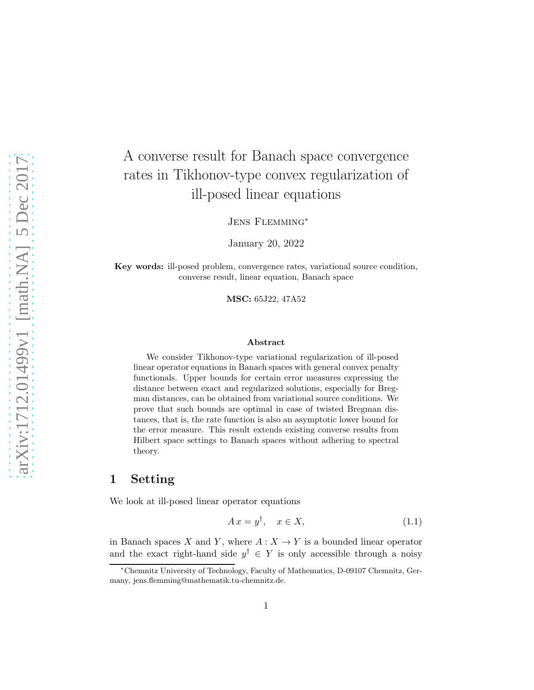# A converse result for Banach space convergence rates in Tikhonov-type convex regularization of ill-posed linear equations

Jens Flemming<sup>∗</sup>

January 20, 2022

Key words: ill-posed problem, convergence rates, variational source condition, converse result, linear equation, Banach space

MSC: 65J22, 47A52

#### Abstract

We consider Tikhonov-type variational regularization of ill-posed linear operator equations in Banach spaces with general convex penalty functionals. Upper bounds for certain error measures expressing the distance between exact and regularized solutions, especially for Bregman distances, can be obtained from variational source conditions. We prove that such bounds are optimal in case of twisted Bregman distances, that is, the rate function is also an asymptotic lower bound for the error measure. This result extends existing converse results from Hilbert space settings to Banach spaces without adhering to spectral theory.

# 1 Setting

We look at ill-posed linear operator equations

<span id="page-0-0"></span>
$$
Ax = y^{\dagger}, \quad x \in X,\tag{1.1}
$$

in Banach spaces X and Y, where  $A: X \to Y$  is a bounded linear operator and the exact right-hand side  $y^{\dagger} \in Y$  is only accessible through a noisy

<sup>∗</sup>Chemnitz University of Technology, Faculty of Mathematics, D-09107 Chemnitz, Germany, jens.flemming@mathematik.tu-chemnitz.de.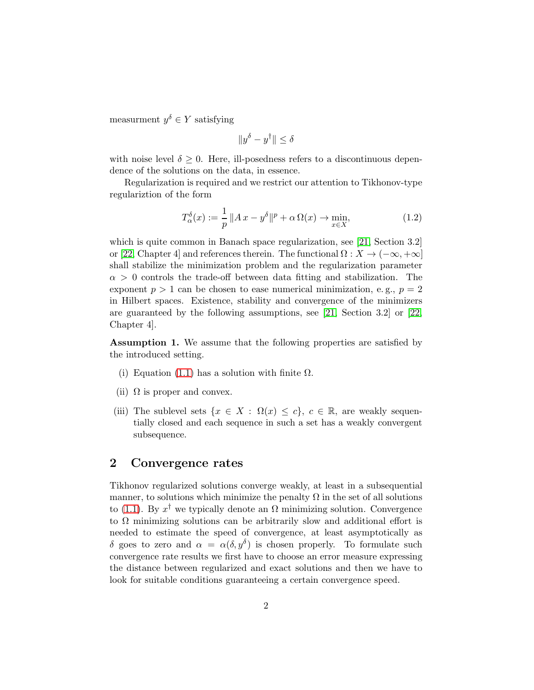measurment  $y^{\delta} \in Y$  satisfying

$$
||y^{\delta} - y^{\dagger}|| \leq \delta
$$

with noise level  $\delta \geq 0$ . Here, ill-posedness refers to a discontinuous dependence of the solutions on the data, in essence.

Regularization is required and we restrict our attention to Tikhonov-type regulariztion of the form

<span id="page-1-0"></span>
$$
T_{\alpha}^{\delta}(x) := \frac{1}{p} \|Ax - y^{\delta}\|^p + \alpha \Omega(x) \to \min_{x \in X}, \tag{1.2}
$$

which is quite common in Banach space regularization, see [\[21,](#page-12-0) Section 3.2] or [\[22,](#page-12-1) Chapter 4] and references therein. The functional  $\Omega: X \to (-\infty, +\infty]$ shall stabilize the minimization problem and the regularization parameter  $\alpha > 0$  controls the trade-off between data fitting and stabilization. The exponent  $p > 1$  can be chosen to ease numerical minimization, e.g.,  $p = 2$ in Hilbert spaces. Existence, stability and convergence of the minimizers are guaranteed by the following assumptions, see [\[21,](#page-12-0) Section 3.2] or [\[22,](#page-12-1) Chapter 4].

Assumption 1. We assume that the following properties are satisfied by the introduced setting.

- (i) Equation [\(1.1\)](#page-0-0) has a solution with finite  $\Omega$ .
- (ii)  $\Omega$  is proper and convex.
- (iii) The sublevel sets  $\{x \in X : \Omega(x) \leq c\}, c \in \mathbb{R}$ , are weakly sequentially closed and each sequence in such a set has a weakly convergent subsequence.

#### <span id="page-1-1"></span>2 Convergence rates

Tikhonov regularized solutions converge weakly, at least in a subsequential manner, to solutions which minimize the penalty  $\Omega$  in the set of all solutions to [\(1.1\)](#page-0-0). By  $x^{\dagger}$  we typically denote an  $\Omega$  minimizing solution. Convergence to  $\Omega$  minimizing solutions can be arbitrarily slow and additional effort is needed to estimate the speed of convergence, at least asymptotically as δ goes to zero and  $\alpha = \alpha(\delta, y^{\delta})$  is chosen properly. To formulate such convergence rate results we first have to choose an error measure expressing the distance between regularized and exact solutions and then we have to look for suitable conditions guaranteeing a certain convergence speed.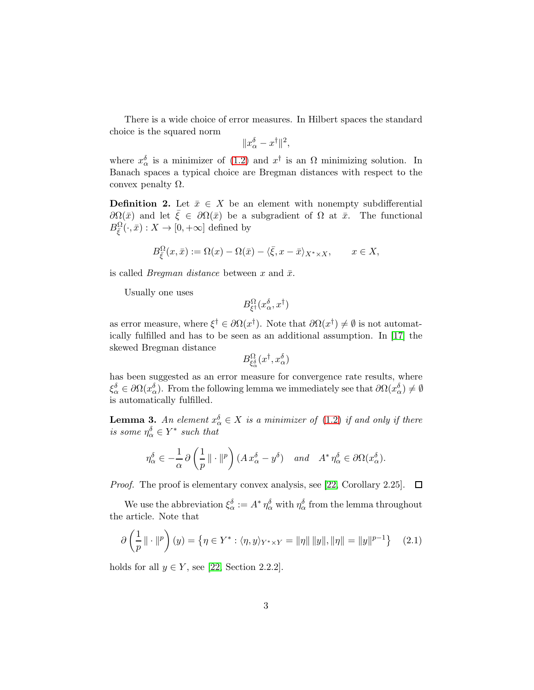There is a wide choice of error measures. In Hilbert spaces the standard choice is the squared norm

$$
||x_\alpha^\delta - x^\dagger||^2,
$$

where  $x_{\alpha}^{\delta}$  is a minimizer of [\(1.2\)](#page-1-0) and  $x^{\dagger}$  is an  $\Omega$  minimizing solution. In Banach spaces a typical choice are Bregman distances with respect to the convex penalty  $Ω$ .

**Definition 2.** Let  $\bar{x} \in X$  be an element with nonempty subdifferential  $\partial\Omega(\bar{x})$  and let  $\bar{\xi} \in \partial\Omega(\bar{x})$  be a subgradient of  $\Omega$  at  $\bar{x}$ . The functional  $B_{\bar{\xi}}^{\Omega}(\cdot,\bar{x}):X\to[0,+\infty]$  defined by

$$
B^{\Omega}_{\bar{\xi}}(x,\bar{x}) := \Omega(x) - \Omega(\bar{x}) - \langle \bar{\xi}, x - \bar{x} \rangle_{X^* \times X}, \qquad x \in X,
$$

is called *Bregman distance* between x and  $\bar{x}$ .

Usually one uses

$$
B_{\xi^{\dagger}}^{\Omega}(x_{\alpha}^{\delta},x^{\dagger})
$$

as error measure, where  $\xi^{\dagger} \in \partial \Omega(x^{\dagger})$ . Note that  $\partial \Omega(x^{\dagger}) \neq \emptyset$  is not automatically fulfilled and has to be seen as an additional assumption. In [\[17\]](#page-12-2) the skewed Bregman distance

$$
B_{\xi_{\alpha}^{\delta}}^{\Omega}(x^{\dagger},x_{\alpha}^{\delta})
$$

has been suggested as an error measure for convergence rate results, where  $\xi_{\alpha}^{\delta} \in \partial \Omega(x_{\alpha}^{\delta})$ . From the following lemma we immediately see that  $\partial \Omega(x_{\alpha}^{\delta}) \neq \emptyset$ is automatically fulfilled.

<span id="page-2-0"></span>**Lemma 3.** An element  $x_{\alpha}^{\delta} \in X$  is a minimizer of [\(1.2\)](#page-1-0) if and only if there is some  $\eta_{\alpha}^{\delta} \in Y^*$  such that

$$
\eta_{\alpha}^{\delta} \in -\frac{1}{\alpha} \partial \left( \frac{1}{p} \, \| \cdot \|^{p} \right) (A \, x_{\alpha}^{\delta} - y^{\delta}) \quad \text{and} \quad A^* \, \eta_{\alpha}^{\delta} \in \partial \Omega(x_{\alpha}^{\delta}).
$$

*Proof.* The proof is elementary convex analysis, see [\[22,](#page-12-1) Corollary 2.25].  $\Box$ 

We use the abbreviation  $\xi_{\alpha}^{\delta} := A^* \eta_{\alpha}^{\delta}$  with  $\eta_{\alpha}^{\delta}$  from the lemma throughout the article. Note that

<span id="page-2-1"></span>
$$
\partial \left( \frac{1}{p} \| \cdot \|^{p} \right) (y) = \{ \eta \in Y^* : \langle \eta, y \rangle_{Y^* \times Y} = \| \eta \| \| y \|, \| \eta \| = \| y \|^{p-1} \} \tag{2.1}
$$

holds for all  $y \in Y$ , see [\[22,](#page-12-1) Section 2.2.2].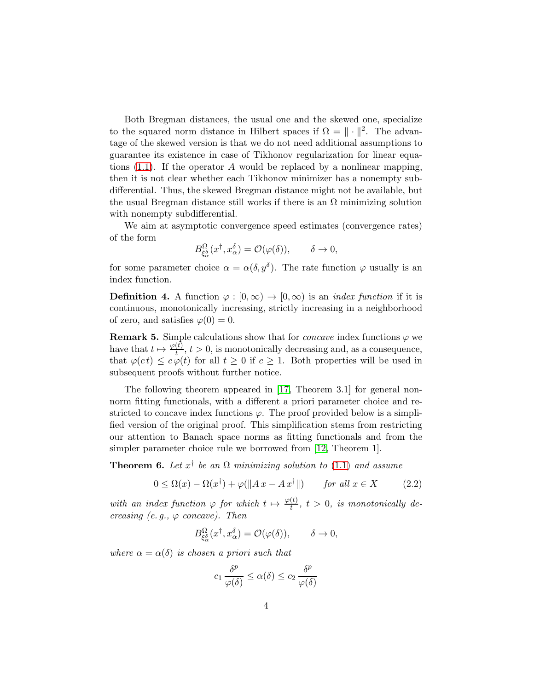Both Bregman distances, the usual one and the skewed one, specialize to the squared norm distance in Hilbert spaces if  $\Omega = \|\cdot\|^2$ . The advantage of the skewed version is that we do not need additional assumptions to guarantee its existence in case of Tikhonov regularization for linear equations  $(1.1)$ . If the operator A would be replaced by a nonlinear mapping, then it is not clear whether each Tikhonov minimizer has a nonempty subdifferential. Thus, the skewed Bregman distance might not be available, but the usual Bregman distance still works if there is an  $\Omega$  minimizing solution with nonempty subdifferential.

We aim at asymptotic convergence speed estimates (convergence rates) of the form

$$
B_{\xi_{\alpha}^{\delta}}^{\Omega}(x^{\dagger},x_{\alpha}^{\delta})=\mathcal{O}(\varphi(\delta)),\qquad\delta\to0,
$$

for some parameter choice  $\alpha = \alpha(\delta, y^{\delta})$ . The rate function  $\varphi$  usually is an index function.

**Definition 4.** A function  $\varphi : [0, \infty) \to [0, \infty)$  is an *index function* if it is continuous, monotonically increasing, strictly increasing in a neighborhood of zero, and satisfies  $\varphi(0) = 0$ .

**Remark 5.** Simple calculations show that for *concave* index functions  $\varphi$  we have that  $t \mapsto \frac{\varphi(t)}{t}$ ,  $t > 0$ , is monotonically decreasing and, as a consequence, that  $\varphi(ct) \leq c \varphi(t)$  for all  $t \geq 0$  if  $c \geq 1$ . Both properties will be used in subsequent proofs without further notice.

The following theorem appeared in [\[17,](#page-12-2) Theorem 3.1] for general nonnorm fitting functionals, with a different a priori parameter choice and restricted to concave index functions  $\varphi$ . The proof provided below is a simplified version of the original proof. This simplification stems from restricting our attention to Banach space norms as fitting functionals and from the simpler parameter choice rule we borrowed from [\[12,](#page-11-0) Theorem 1].

<span id="page-3-1"></span>**Theorem 6.** Let  $x^{\dagger}$  be an  $\Omega$  minimizing solution to [\(1.1\)](#page-0-0) and assume

<span id="page-3-0"></span>
$$
0 \le \Omega(x) - \Omega(x^{\dagger}) + \varphi(||Ax - Ax^{\dagger}||) \qquad \text{for all } x \in X \tag{2.2}
$$

with an index function  $\varphi$  for which  $t \mapsto \frac{\varphi(t)}{t}$ ,  $t > 0$ , is monotonically decreasing (e.g.,  $\varphi$  concave). Then

$$
B_{\xi^{\delta}_{\alpha}}^{\Omega}(x^{\dagger}, x_{\alpha}^{\delta}) = \mathcal{O}(\varphi(\delta)), \qquad \delta \to 0,
$$

where  $\alpha = \alpha(\delta)$  is chosen a priori such that

$$
c_1 \frac{\delta^p}{\varphi(\delta)} \le \alpha(\delta) \le c_2 \frac{\delta^p}{\varphi(\delta)}
$$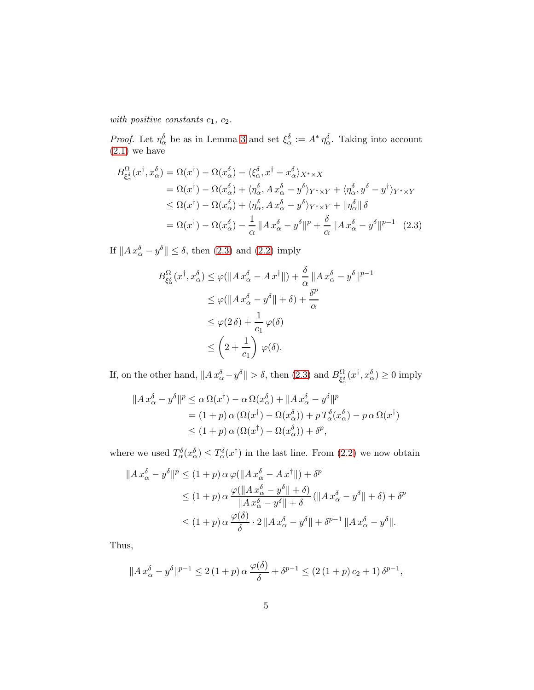with positive constants  $c_1, c_2$ .

*Proof.* Let  $\eta_{\alpha}^{\delta}$  be as in Lemma [3](#page-2-0) and set  $\xi_{\alpha}^{\delta} := A^* \eta_{\alpha}^{\delta}$ . Taking into account  $(2.1)$  we have

$$
B_{\xi_{\alpha}^{\delta}}^{\Omega}(x^{\dagger}, x_{\alpha}^{\delta}) = \Omega(x^{\dagger}) - \Omega(x_{\alpha}^{\delta}) - \langle \xi_{\alpha}^{\delta}, x^{\dagger} - x_{\alpha}^{\delta} \rangle_{X^{*} \times X}
$$
  
\n
$$
= \Omega(x^{\dagger}) - \Omega(x_{\alpha}^{\delta}) + \langle \eta_{\alpha}^{\delta}, A x_{\alpha}^{\delta} - y^{\delta} \rangle_{Y^{*} \times Y} + \langle \eta_{\alpha}^{\delta}, y^{\delta} - y^{\dagger} \rangle_{Y^{*} \times Y}
$$
  
\n
$$
\leq \Omega(x^{\dagger}) - \Omega(x_{\alpha}^{\delta}) + \langle \eta_{\alpha}^{\delta}, A x_{\alpha}^{\delta} - y^{\delta} \rangle_{Y^{*} \times Y} + ||\eta_{\alpha}^{\delta}|| \delta
$$
  
\n
$$
= \Omega(x^{\dagger}) - \Omega(x_{\alpha}^{\delta}) - \frac{1}{\alpha} ||A x_{\alpha}^{\delta} - y^{\delta}||^{p} + \frac{\delta}{\alpha} ||A x_{\alpha}^{\delta} - y^{\delta}||^{p-1} (2.3)
$$

If  $||Ax_{\alpha}^{\delta} - y^{\delta}|| \leq \delta$ , then [\(2.3\)](#page-4-0) and [\(2.2\)](#page-3-0) imply

<span id="page-4-0"></span>
$$
B_{\xi_{\alpha}^{\delta}}^{\Omega}(x^{\dagger}, x_{\alpha}^{\delta}) \leq \varphi(||A x_{\alpha}^{\delta} - A x^{\dagger}||) + \frac{\delta}{\alpha} ||A x_{\alpha}^{\delta} - y^{\delta}||^{p-1}
$$
  
\n
$$
\leq \varphi(||A x_{\alpha}^{\delta} - y^{\delta}|| + \delta) + \frac{\delta^{p}}{\alpha}
$$
  
\n
$$
\leq \varphi(2 \delta) + \frac{1}{c_{1}} \varphi(\delta)
$$
  
\n
$$
\leq \left(2 + \frac{1}{c_{1}}\right) \varphi(\delta).
$$

If, on the other hand,  $||Ax^{\delta}_{\alpha} - y^{\delta}|| > \delta$ , then [\(2.3\)](#page-4-0) and  $B^{\Omega}_{\xi^{\delta}_{\alpha}}(x^{\dagger}, x^{\delta}_{\alpha}) \ge 0$  imply

$$
||A x_{\alpha}^{\delta} - y^{\delta}||^{p} \leq \alpha \Omega(x^{\dagger}) - \alpha \Omega(x_{\alpha}^{\delta}) + ||A x_{\alpha}^{\delta} - y^{\delta}||^{p}
$$
  
=  $(1+p) \alpha (\Omega(x^{\dagger}) - \Omega(x_{\alpha}^{\delta})) + p T_{\alpha}^{\delta}(x_{\alpha}^{\delta}) - p \alpha \Omega(x^{\dagger})$   
 $\leq (1+p) \alpha (\Omega(x^{\dagger}) - \Omega(x_{\alpha}^{\delta})) + \delta^{p},$ 

where we used  $T^{\delta}_{\alpha}(x^{\delta}_{\alpha}) \leq T^{\delta}_{\alpha}(x^{\dagger})$  in the last line. From [\(2.2\)](#page-3-0) we now obtain

$$
||A x_{\alpha}^{\delta} - y^{\delta}||^{p} \le (1+p) \alpha \varphi(||A x_{\alpha}^{\delta} - A x^{\dagger}||) + \delta^{p}
$$
  
\n
$$
\le (1+p) \alpha \frac{\varphi(||A x_{\alpha}^{\delta} - y^{\delta}|| + \delta)}{||A x_{\alpha}^{\delta} - y^{\delta}|| + \delta} (||A x_{\alpha}^{\delta} - y^{\delta}|| + \delta) + \delta^{p}
$$
  
\n
$$
\le (1+p) \alpha \frac{\varphi(\delta)}{\delta} \cdot 2 ||A x_{\alpha}^{\delta} - y^{\delta}|| + \delta^{p-1} ||A x_{\alpha}^{\delta} - y^{\delta}||.
$$

Thus,

$$
||A x_{\alpha}^{\delta} - y^{\delta}||^{p-1} \le 2 (1+p) \alpha \frac{\varphi(\delta)}{\delta} + \delta^{p-1} \le (2 (1+p) c_2 + 1) \delta^{p-1},
$$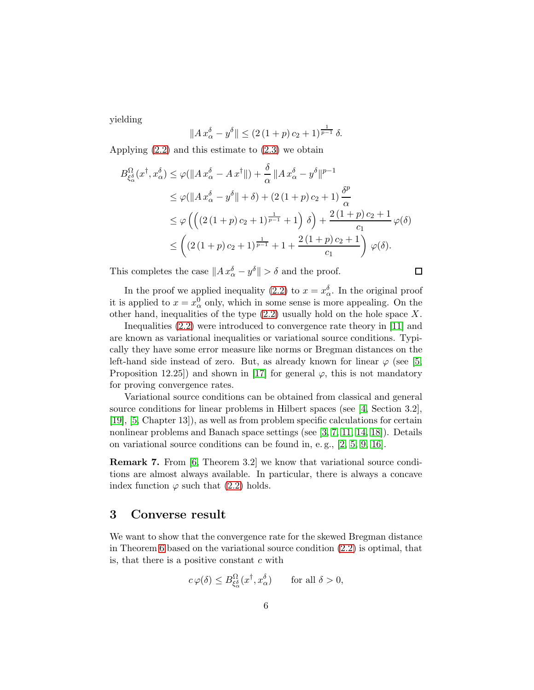yielding

$$
||A x_{\alpha}^{\delta} - y^{\delta}|| \le (2 (1+p) c_2 + 1)^{\frac{1}{p-1}} \delta.
$$

Applying [\(2.2\)](#page-3-0) and this estimate to [\(2.3\)](#page-4-0) we obtain

$$
B_{\xi_{\alpha}^{\delta}}^{\Omega}(x^{\dagger}, x_{\alpha}^{\delta}) \leq \varphi(||A x_{\alpha}^{\delta} - A x^{\dagger}||) + \frac{\delta}{\alpha} ||A x_{\alpha}^{\delta} - y^{\delta}||^{p-1}
$$
  
\n
$$
\leq \varphi(||A x_{\alpha}^{\delta} - y^{\delta}|| + \delta) + (2 (1 + p) c_2 + 1) \frac{\delta^{p}}{\alpha}
$$
  
\n
$$
\leq \varphi \left( \left( (2 (1 + p) c_2 + 1)^{\frac{1}{p-1}} + 1 \right) \delta \right) + \frac{2 (1 + p) c_2 + 1}{c_1} \varphi(\delta)
$$
  
\n
$$
\leq \left( (2 (1 + p) c_2 + 1)^{\frac{1}{p-1}} + 1 + \frac{2 (1 + p) c_2 + 1}{c_1} \right) \varphi(\delta).
$$

This completes the case  $||Ax_{\alpha}^{\delta} - y^{\delta}|| > \delta$  and the proof.

In the proof we applied inequality [\(2.2\)](#page-3-0) to  $x = x_{\alpha}^{\delta}$ . In the original proof it is applied to  $x = x_{\alpha}^0$  only, which in some sense is more appealing. On the other hand, inequalities of the type  $(2.2)$  usually hold on the hole space X.

 $\Box$ 

Inequalities [\(2.2\)](#page-3-0) were introduced to convergence rate theory in [\[11\]](#page-11-1) and are known as variational inequalities or variational source conditions. Typically they have some error measure like norms or Bregman distances on the left-hand side instead of zero. But, as already known for linear  $\varphi$  (see [\[5,](#page-11-2) Proposition 12.25]) and shown in [\[17\]](#page-12-2) for general  $\varphi$ , this is not mandatory for proving convergence rates.

Variational source conditions can be obtained from classical and general source conditions for linear problems in Hilbert spaces (see [\[4,](#page-10-0) Section 3.2], [\[19\]](#page-12-3), [\[5,](#page-11-2) Chapter 13]), as well as from problem specific calculations for certain nonlinear problems and Banach space settings (see [\[3,](#page-10-1) [7,](#page-11-3) [11,](#page-11-1) [14,](#page-11-4) [18\]](#page-12-4)). Details on variational source conditions can be found in, e. g., [\[2,](#page-10-2) [5,](#page-11-2) [9,](#page-11-5) [16\]](#page-12-5).

Remark 7. From [\[6,](#page-11-6) Theorem 3.2] we know that variational source conditions are almost always available. In particular, there is always a concave index function  $\varphi$  such that [\(2.2\)](#page-3-0) holds.

### 3 Converse result

We want to show that the convergence rate for the skewed Bregman distance in Theorem [6](#page-3-1) based on the variational source condition [\(2.2\)](#page-3-0) is optimal, that is, that there is a positive constant  $c$  with

$$
c\,\varphi(\delta) \le B_{\xi_{\alpha}^{\delta}}^{\Omega}(x^{\dagger}, x_{\alpha}^{\delta}) \qquad \text{for all } \delta > 0,
$$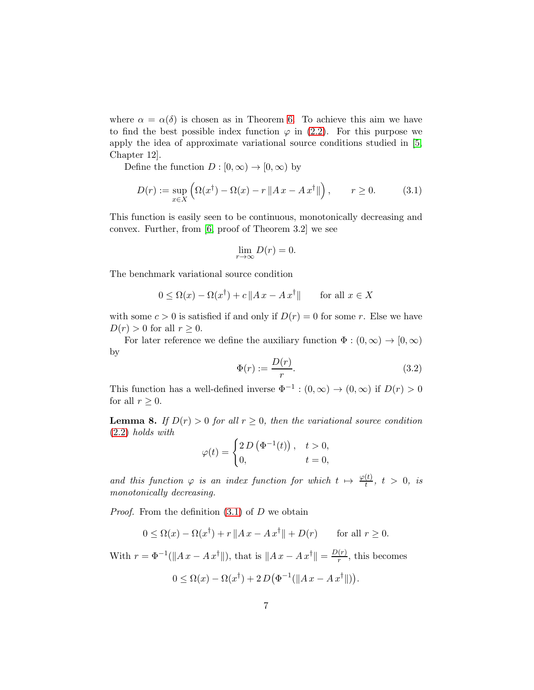where  $\alpha = \alpha(\delta)$  is chosen as in Theorem [6.](#page-3-1) To achieve this aim we have to find the best possible index function  $\varphi$  in [\(2.2\)](#page-3-0). For this purpose we apply the idea of approximate variational source conditions studied in [\[5,](#page-11-2) Chapter 12].

Define the function  $D : [0, \infty) \to [0, \infty)$  by

<span id="page-6-0"></span>
$$
D(r) := \sup_{x \in X} \left( \Omega(x^{\dagger}) - \Omega(x) - r \|Ax - Ax^{\dagger}\| \right), \qquad r \ge 0. \tag{3.1}
$$

This function is easily seen to be continuous, monotonically decreasing and convex. Further, from [\[6,](#page-11-6) proof of Theorem 3.2] we see

$$
\lim_{r \to \infty} D(r) = 0.
$$

The benchmark variational source condition

$$
0 \le \Omega(x) - \Omega(x^{\dagger}) + c \|Ax - Ax^{\dagger}\| \quad \text{for all } x \in X
$$

with some  $c > 0$  is satisfied if and only if  $D(r) = 0$  for some r. Else we have  $D(r) > 0$  for all  $r \geq 0$ .

For later reference we define the auxiliary function  $\Phi : (0, \infty) \to [0, \infty)$ by

<span id="page-6-1"></span>
$$
\Phi(r) := \frac{D(r)}{r}.\tag{3.2}
$$

This function has a well-defined inverse  $\Phi^{-1} : (0, \infty) \to (0, \infty)$  if  $D(r) > 0$ for all  $r \geq 0$ .

<span id="page-6-2"></span>**Lemma 8.** If  $D(r) > 0$  for all  $r \geq 0$ , then the variational source condition [\(2.2\)](#page-3-0) holds with

$$
\varphi(t) = \begin{cases} 2 D\left(\Phi^{-1}(t)\right), & t > 0, \\ 0, & t = 0, \end{cases}
$$

and this function  $\varphi$  is an index function for which  $t \mapsto \frac{\varphi(t)}{t}$ ,  $t > 0$ , is monotonically decreasing.

*Proof.* From the definition  $(3.1)$  of D we obtain

$$
0 \le \Omega(x) - \Omega(x^{\dagger}) + r \|Ax - Ax^{\dagger}\| + D(r) \quad \text{for all } r \ge 0.
$$

With  $r = \Phi^{-1}(\|Ax - Ax^{\dagger}\|)$ , that is  $\|Ax - Ax^{\dagger}\| = \frac{D(r)}{r}$  $\frac{(r)}{r}$ , this becomes

$$
0 \leq \Omega(x) - \Omega(x^{\dagger}) + 2D(\Phi^{-1}(\|Ax - Ax^{\dagger}\|)).
$$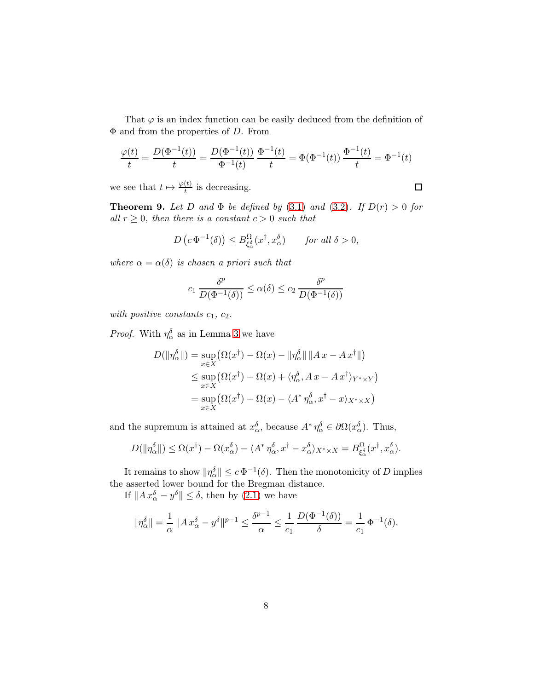That  $\varphi$  is an index function can be easily deduced from the definition of  $\Phi$  and from the properties of D. From

$$
\frac{\varphi(t)}{t} = \frac{D(\Phi^{-1}(t))}{t} = \frac{D(\Phi^{-1}(t))}{\Phi^{-1}(t)} \frac{\Phi^{-1}(t)}{t} = \Phi(\Phi^{-1}(t)) \frac{\Phi^{-1}(t)}{t} = \Phi^{-1}(t)
$$

we see that  $t \mapsto \frac{\varphi(t)}{t}$  is decreasing.

 $\Box$ 

<span id="page-7-0"></span>**Theorem 9.** Let D and  $\Phi$  be defined by [\(3.1\)](#page-6-0) and [\(3.2\)](#page-6-1). If  $D(r) > 0$  for all  $r \geq 0$ , then there is a constant  $c > 0$  such that

$$
D\left(c\,\Phi^{-1}(\delta)\right) \le B_{\xi^{\delta}_{\alpha}}^{\Omega}(x^{\dagger}, x_{\alpha}^{\delta}) \qquad \text{for all } \delta > 0,
$$

where  $\alpha = \alpha(\delta)$  is chosen a priori such that

$$
c_1 \frac{\delta^p}{D(\Phi^{-1}(\delta))} \le \alpha(\delta) \le c_2 \frac{\delta^p}{D(\Phi^{-1}(\delta))}
$$

with positive constants  $c_1, c_2$ .

*Proof.* With  $\eta_{\alpha}^{\delta}$  as in Lemma [3](#page-2-0) we have

$$
D(\|\eta_{\alpha}^{\delta}\|) = \sup_{x \in X} (\Omega(x^{\dagger}) - \Omega(x) - \|\eta_{\alpha}^{\delta}\| \|Ax - Ax^{\dagger}\|)
$$
  

$$
\leq \sup_{x \in X} (\Omega(x^{\dagger}) - \Omega(x) + \langle \eta_{\alpha}^{\delta}, Ax - Ax^{\dagger} \rangle_{Y^{*} \times Y})
$$
  

$$
= \sup_{x \in X} (\Omega(x^{\dagger}) - \Omega(x) - \langle A^{*} \eta_{\alpha}^{\delta}, x^{\dagger} - x \rangle_{X^{*} \times X})
$$

and the supremum is attained at  $x_{\alpha}^{\delta}$ , because  $A^* \eta_{\alpha}^{\delta} \in \partial \Omega(x_{\alpha}^{\delta})$ . Thus,

$$
D(\|\eta_{\alpha}^{\delta}\|) \leq \Omega(x^{\dagger}) - \Omega(x_{\alpha}^{\delta}) - \langle A^* \eta_{\alpha}^{\delta}, x^{\dagger} - x_{\alpha}^{\delta} \rangle_{X^* \times X} = B_{\xi_{\alpha}^{\delta}}^{\Omega}(x^{\dagger}, x_{\alpha}^{\delta}).
$$

It remains to show  $\|\eta_\alpha^\delta\| \leq c \Phi^{-1}(\delta)$ . Then the monotonicity of D implies the asserted lower bound for the Bregman distance.

If  $||Ax_{\alpha}^{\delta} - y^{\delta}|| \leq \delta$ , then by [\(2.1\)](#page-2-1) we have

$$
\|\eta_{\alpha}^{\delta}\| = \frac{1}{\alpha} \left\|A x_{\alpha}^{\delta} - y^{\delta}\right\|^{p-1} \le \frac{\delta^{p-1}}{\alpha} \le \frac{1}{c_1} \frac{D(\Phi^{-1}(\delta))}{\delta} = \frac{1}{c_1} \Phi^{-1}(\delta).
$$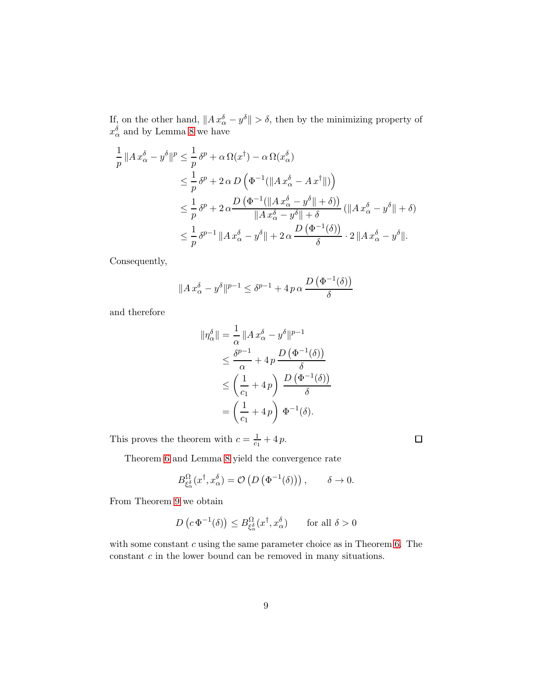If, on the other hand,  $||Ax_{\alpha}^{\delta} - y^{\delta}|| > \delta$ , then by the minimizing property of  $x_{\alpha}^{\delta}$  and by Lemma [8](#page-6-2) we have

$$
\frac{1}{p} ||A x_{\alpha}^{\delta} - y^{\delta}||^{p} \leq \frac{1}{p} \delta^{p} + \alpha \Omega(x^{\dagger}) - \alpha \Omega(x_{\alpha}^{\delta})
$$
\n
$$
\leq \frac{1}{p} \delta^{p} + 2 \alpha D \left( \Phi^{-1} (||A x_{\alpha}^{\delta} - A x^{\dagger}||) \right)
$$
\n
$$
\leq \frac{1}{p} \delta^{p} + 2 \alpha \frac{D (\Phi^{-1} (||A x_{\alpha}^{\delta} - y^{\delta}|| + \delta))}{||A x_{\alpha}^{\delta} - y^{\delta}|| + \delta} (||A x_{\alpha}^{\delta} - y^{\delta}|| + \delta)
$$
\n
$$
\leq \frac{1}{p} \delta^{p-1} ||A x_{\alpha}^{\delta} - y^{\delta}|| + 2 \alpha \frac{D (\Phi^{-1}(\delta))}{\delta} \cdot 2 ||A x_{\alpha}^{\delta} - y^{\delta}||.
$$

Consequently,

$$
||A x_{\alpha}^{\delta} - y^{\delta}||^{p-1} \leq \delta^{p-1} + 4 p \alpha \frac{D(\Phi^{-1}(\delta))}{\delta}
$$

and therefore

$$
\begin{aligned} \|\eta_{\alpha}^{\delta}\| &= \frac{1}{\alpha} \left\|A \, x_{\alpha}^{\delta} - y^{\delta}\right\|^{p-1} \\ &\leq \frac{\delta^{p-1}}{\alpha} + 4 \, p \, \frac{D \left(\Phi^{-1}(\delta)\right)}{\delta} \\ &\leq \left(\frac{1}{c_1} + 4 \, p\right) \, \frac{D \left(\Phi^{-1}(\delta)\right)}{\delta} \\ &= \left(\frac{1}{c_1} + 4 \, p\right) \, \Phi^{-1}(\delta). \end{aligned}
$$

This proves the theorem with  $c = \frac{1}{c_1} + 4p$ .

Theorem [6](#page-3-1) and Lemma [8](#page-6-2) yield the convergence rate

$$
B_{\xi_{\alpha}^{\delta}}^{\Omega}(x^{\dagger}, x_{\alpha}^{\delta}) = \mathcal{O}\left(D\left(\Phi^{-1}(\delta)\right)\right), \qquad \delta \to 0.
$$

 $\Box$ 

From Theorem [9](#page-7-0) we obtain

$$
D\left(c\,\Phi^{-1}(\delta)\right) \le B_{\xi^{\delta}_{\alpha}}^{\Omega}(x^{\dagger}, x^{\delta}_{\alpha}) \qquad \text{for all } \delta > 0
$$

with some constant  $c$  using the same parameter choice as in Theorem [6.](#page-3-1) The constant  $c$  in the lower bound can be removed in many situations.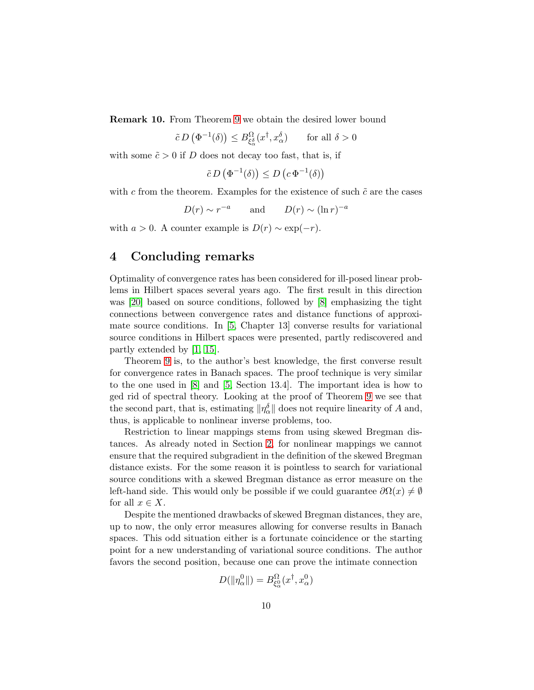Remark 10. From Theorem [9](#page-7-0) we obtain the desired lower bound

 $\tilde{c} \, D\left(\Phi^{-1}(\delta)\right) \leq B^{\Omega}_{\xi_{c}^{\delta}}$  $\frac{\Omega}{\xi_{\alpha}^{\delta}}(x^{\dagger}, x_{\alpha}^{\delta})$  for all  $\delta > 0$ 

with some  $\tilde{c} > 0$  if D does not decay too fast, that is, if

$$
\tilde{c} D\left(\Phi^{-1}(\delta)\right) \le D\left(c \Phi^{-1}(\delta)\right)
$$

with  $c$  from the theorem. Examples for the existence of such  $\tilde{c}$  are the cases

 $D(r) \sim r^{-a}$  and  $D(r) \sim (\ln r)^{-a}$ 

with  $a > 0$ . A counter example is  $D(r) \sim \exp(-r)$ .

# 4 Concluding remarks

Optimality of convergence rates has been considered for ill-posed linear problems in Hilbert spaces several years ago. The first result in this direction was [\[20\]](#page-12-6) based on source conditions, followed by [\[8\]](#page-11-7) emphasizing the tight connections between convergence rates and distance functions of approximate source conditions. In [\[5,](#page-11-2) Chapter 13] converse results for variational source conditions in Hilbert spaces were presented, partly rediscovered and partly extended by [\[1,](#page-10-3) [15\]](#page-12-7).

Theorem [9](#page-7-0) is, to the author's best knowledge, the first converse result for convergence rates in Banach spaces. The proof technique is very similar to the one used in [\[8\]](#page-11-7) and [\[5,](#page-11-2) Section 13.4]. The important idea is how to ged rid of spectral theory. Looking at the proof of Theorem [9](#page-7-0) we see that the second part, that is, estimating  $\|\eta_\alpha^\delta\|$  does not require linearity of A and, thus, is applicable to nonlinear inverse problems, too.

Restriction to linear mappings stems from using skewed Bregman distances. As already noted in Section [2,](#page-1-1) for nonlinear mappings we cannot ensure that the required subgradient in the definition of the skewed Bregman distance exists. For the some reason it is pointless to search for variational source conditions with a skewed Bregman distance as error measure on the left-hand side. This would only be possible if we could guarantee  $\partial\Omega(x) \neq \emptyset$ for all  $x \in X$ .

Despite the mentioned drawbacks of skewed Bregman distances, they are, up to now, the only error measures allowing for converse results in Banach spaces. This odd situation either is a fortunate coincidence or the starting point for a new understanding of variational source conditions. The author favors the second position, because one can prove the intimate connection

$$
D(\|\eta_\alpha^0\|) = B_{\xi_\alpha^0}^{\Omega}(x^\dagger, x_\alpha^0)
$$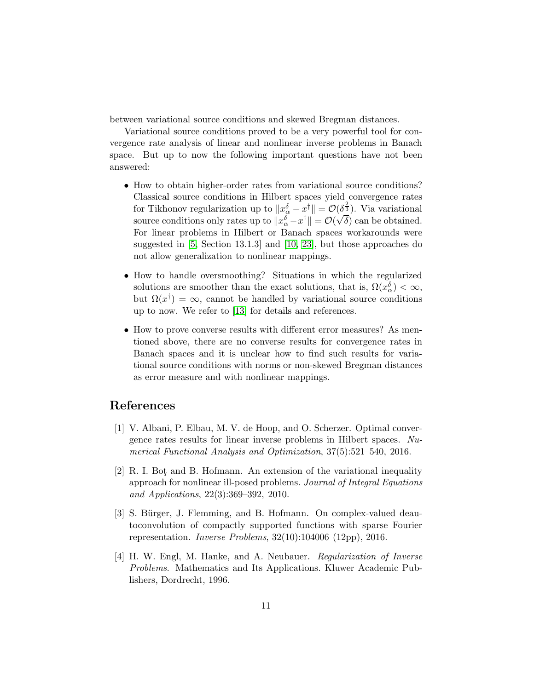between variational source conditions and skewed Bregman distances.

Variational source conditions proved to be a very powerful tool for convergence rate analysis of linear and nonlinear inverse problems in Banach space. But up to now the following important questions have not been answered:

- How to obtain higher-order rates from variational source conditions? Classical source conditions in Hilbert spaces yield convergence rates for Tikhonov regularization up to  $||x_{\alpha}^{\delta} - x^{\dagger}|| = \mathcal{O}(\delta^{\frac{2}{3}})$ . Via variational source conditions only rates up to  $||x_{\alpha}^{\delta}-x^{\dagger}|| = \mathcal{O}(\sqrt{\delta})$  can be obtained. For linear problems in Hilbert or Banach spaces workarounds were suggested in [\[5,](#page-11-2) Section 13.1.3] and [\[10,](#page-11-8) [23\]](#page-12-8), but those approaches do not allow generalization to nonlinear mappings.
- How to handle oversmoothing? Situations in which the regularized solutions are smoother than the exact solutions, that is,  $\Omega(x_{\alpha}^{\delta}) < \infty$ , but  $\Omega(x^{\dagger}) = \infty$ , cannot be handled by variational source conditions up to now. We refer to [\[13\]](#page-11-9) for details and references.
- How to prove converse results with different error measures? As mentioned above, there are no converse results for convergence rates in Banach spaces and it is unclear how to find such results for variational source conditions with norms or non-skewed Bregman distances as error measure and with nonlinear mappings.

# <span id="page-10-3"></span>References

- [1] V. Albani, P. Elbau, M. V. de Hoop, and O. Scherzer. Optimal convergence rates results for linear inverse problems in Hilbert spaces. Numerical Functional Analysis and Optimization, 37(5):521–540, 2016.
- <span id="page-10-2"></span>[2] R. I. Bot and B. Hofmann. An extension of the variational inequality approach for nonlinear ill-posed problems. Journal of Integral Equations and Applications, 22(3):369–392, 2010.
- <span id="page-10-1"></span>[3] S. Bürger, J. Flemming, and B. Hofmann. On complex-valued deautoconvolution of compactly supported functions with sparse Fourier representation. Inverse Problems, 32(10):104006 (12pp), 2016.
- <span id="page-10-0"></span>[4] H. W. Engl, M. Hanke, and A. Neubauer. Regularization of Inverse Problems. Mathematics and Its Applications. Kluwer Academic Publishers, Dordrecht, 1996.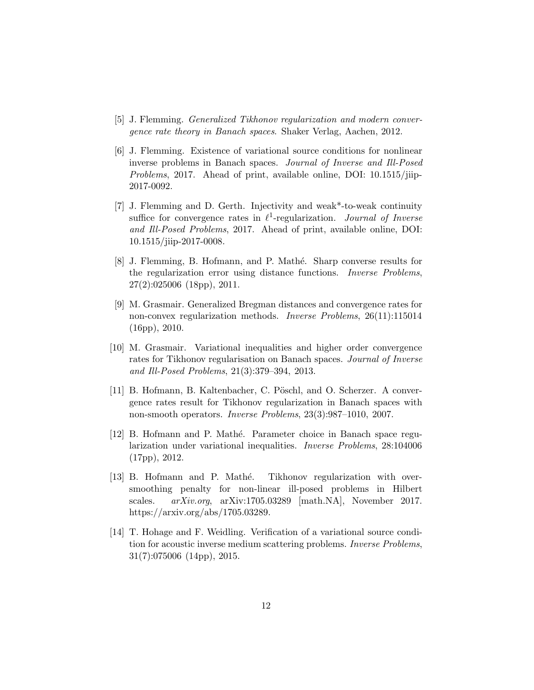- <span id="page-11-6"></span><span id="page-11-2"></span>[5] J. Flemming. Generalized Tikhonov regularization and modern convergence rate theory in Banach spaces. Shaker Verlag, Aachen, 2012.
- [6] J. Flemming. Existence of variational source conditions for nonlinear inverse problems in Banach spaces. Journal of Inverse and Ill-Posed Problems, 2017. Ahead of print, available online, DOI: 10.1515/jiip-2017-0092.
- <span id="page-11-3"></span>[7] J. Flemming and D. Gerth. Injectivity and weak\*-to-weak continuity suffice for convergence rates in  $\ell^1$ -regularization. *Journal of Inverse* and Ill-Posed Problems, 2017. Ahead of print, available online, DOI: 10.1515/jiip-2017-0008.
- <span id="page-11-7"></span>[8] J. Flemming, B. Hofmann, and P. Mathé. Sharp converse results for the regularization error using distance functions. Inverse Problems, 27(2):025006 (18pp), 2011.
- <span id="page-11-5"></span>[9] M. Grasmair. Generalized Bregman distances and convergence rates for non-convex regularization methods. Inverse Problems, 26(11):115014 (16pp), 2010.
- <span id="page-11-8"></span>[10] M. Grasmair. Variational inequalities and higher order convergence rates for Tikhonov regularisation on Banach spaces. Journal of Inverse and Ill-Posed Problems, 21(3):379–394, 2013.
- <span id="page-11-1"></span>[11] B. Hofmann, B. Kaltenbacher, C. Pöschl, and O. Scherzer. A convergence rates result for Tikhonov regularization in Banach spaces with non-smooth operators. Inverse Problems, 23(3):987–1010, 2007.
- <span id="page-11-0"></span>[12] B. Hofmann and P. Math´e. Parameter choice in Banach space regularization under variational inequalities. Inverse Problems, 28:104006 (17pp), 2012.
- <span id="page-11-9"></span>[13] B. Hofmann and P. Mathé. Tikhonov regularization with oversmoothing penalty for non-linear ill-posed problems in Hilbert scales. arXiv.org, arXiv:1705.03289 [math.NA], November 2017. https://arxiv.org/abs/1705.03289.
- <span id="page-11-4"></span>[14] T. Hohage and F. Weidling. Verification of a variational source condition for acoustic inverse medium scattering problems. Inverse Problems, 31(7):075006 (14pp), 2015.